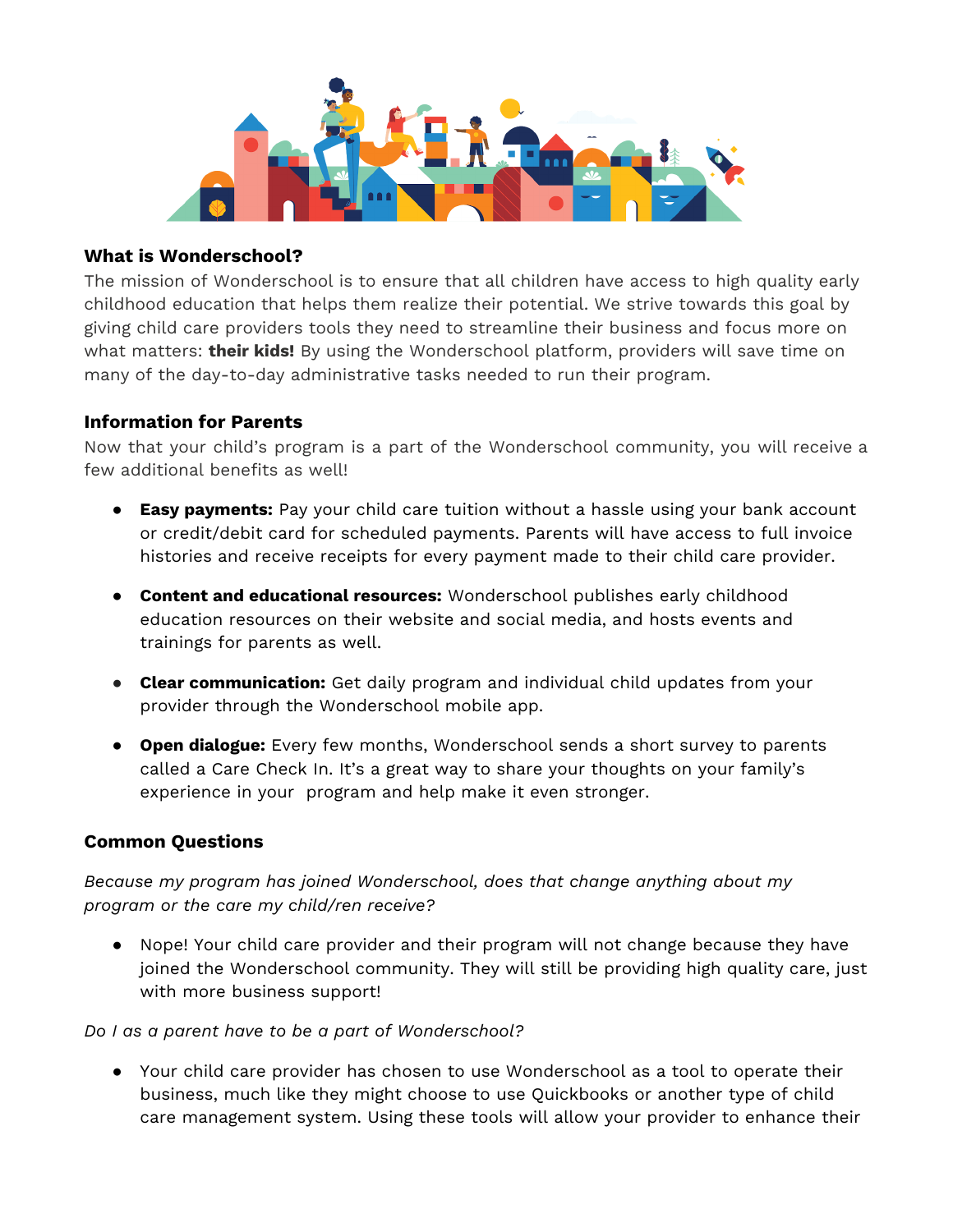

### **What is Wonderschool?**

The mission of Wonderschool is to ensure that all children have access to high quality early childhood education that helps them realize their potential. We strive towards this goal by giving child care providers tools they need to streamline their business and focus more on what matters: **their kids!** By using the Wonderschool platform, providers will save time on many of the day-to-day administrative tasks needed to run their program.

### **Information for Parents**

Now that your child's program is a part of the Wonderschool community, you will receive a few additional benefits as well!

- **Easy payments:** Pay your child care tuition without a hassle using your bank account or credit/debit card for scheduled payments. Parents will have access to full invoice histories and receive receipts for every payment made to their child care provider.
- **Content and educational resources:** Wonderschool publishes early childhood education resources on their website and social media, and hosts events and trainings for parents as well.
- **Clear communication:** Get daily program and individual child updates from your provider through the Wonderschool mobile app.
- **Open dialogue:** Every few months, Wonderschool sends a short survey to parents called a Care Check In. It's a great way to share your thoughts on your family's experience in your program and help make it even stronger.

### **Common Questions**

*Because my program has joined Wonderschool, does that change anything about my program or the care my child/ren receive?*

● Nope! Your child care provider and their program will not change because they have joined the Wonderschool community. They will still be providing high quality care, just with more business support!

### *Do I as a parent have to be a part of Wonderschool?*

● Your child care provider has chosen to use Wonderschool as a tool to operate their business, much like they might choose to use Quickbooks or another type of child care management system. Using these tools will allow your provider to enhance their